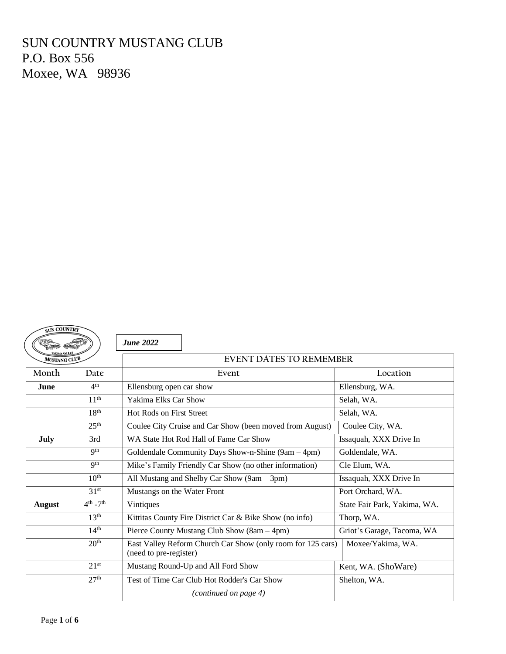# SUN COUNTRY MUSTANG CLUB P.O. Box 556 Moxee, WA 98936

| <b>SUN COUNTRY</b> |                           |                                                                                       |                              |  |  |
|--------------------|---------------------------|---------------------------------------------------------------------------------------|------------------------------|--|--|
|                    |                           | <b>June 2022</b>                                                                      |                              |  |  |
| MUSTANG CLUB       |                           | <b>EVENT DATES TO REMEMBER</b>                                                        |                              |  |  |
| Month              | Date                      | Event                                                                                 | Location                     |  |  |
| <b>June</b>        | 4 <sup>th</sup>           | Ellensburg open car show                                                              | Ellensburg, WA.              |  |  |
|                    | 11 <sup>th</sup>          | Yakima Elks Car Show                                                                  | Selah, WA.                   |  |  |
|                    | 18 <sup>th</sup>          | <b>Hot Rods on First Street</b>                                                       | Selah, WA.                   |  |  |
|                    | 25 <sup>th</sup>          | Coulee City Cruise and Car Show (been moved from August)                              | Coulee City, WA.             |  |  |
| July               | 3rd                       | WA State Hot Rod Hall of Fame Car Show                                                | Issaquah, XXX Drive In       |  |  |
|                    | Q <sup>th</sup>           | Goldendale Community Days Show-n-Shine (9am – 4pm)                                    | Goldendale, WA.              |  |  |
|                    | 9 <sup>th</sup>           | Mike's Family Friendly Car Show (no other information)                                | Cle Elum, WA.                |  |  |
|                    | 10 <sup>th</sup>          | All Mustang and Shelby Car Show (9am – 3pm)                                           | Issaquah, XXX Drive In       |  |  |
|                    | 31 <sup>st</sup>          | Mustangs on the Water Front                                                           | Port Orchard, WA.            |  |  |
| <b>August</b>      | $4^{th}$ -7 <sup>th</sup> | Vintiques                                                                             | State Fair Park, Yakima, WA. |  |  |
|                    | 13 <sup>th</sup>          | Kittitas County Fire District Car & Bike Show (no info)                               | Thorp, WA.                   |  |  |
|                    | 14 <sup>th</sup>          | Pierce County Mustang Club Show (8am – 4pm)                                           | Griot's Garage, Tacoma, WA   |  |  |
|                    | 20 <sup>th</sup>          | East Valley Reform Church Car Show (only room for 125 cars)<br>(need to pre-register) | Moxee/Yakima, WA.            |  |  |
|                    | 21 <sup>st</sup>          | Mustang Round-Up and All Ford Show                                                    | Kent, WA. (ShoWare)          |  |  |
|                    | 27 <sup>th</sup>          | Test of Time Car Club Hot Rodder's Car Show                                           | Shelton, WA.                 |  |  |
|                    |                           | (continued on page 4)                                                                 |                              |  |  |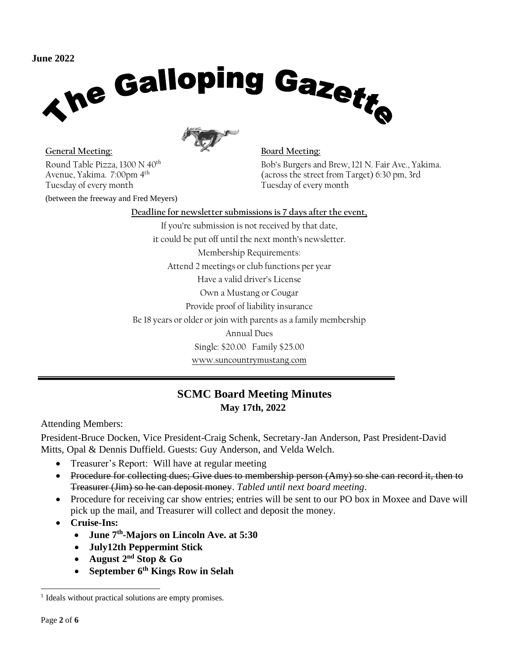

General Meeting: **Board Meeting:** Round Table Pizza, 1300 N 40th Avenue, Yakima. 7:00pm 4 th Tuesday of every month

(between the freeway and Fred Meyers)

Bob's Burgers and Brew, 121 N. Fair Ave., Yakima. (across the street from Target) 6:30 pm, 3rd Tuesday of every month

**Deadline for newsletter submissions is 7 days after the event,** If you're submission is not received by that date, it could be put off until the next month's newsletter. Membership Requirements: Attend 2 meetings or club functions per year Have a valid driver's License Own a Mustang or Cougar Provide proof of liability insurance Be 18 years or older or join with parents as a family membership Annual Dues Single: \$20.00 Family \$25.00 www.suncountrymustang.com

# **SCMC Board Meeting Minutes May 17th, 2022**

Attending Members:

President-Bruce Docken, Vice President-Craig Schenk, Secretary-Jan Anderson, Past President-David Mitts, Opal & Dennis Duffield. Guests: Guy Anderson, and Velda Welch.

- Treasurer's Report: Will have at regular meeting
- Procedure for collecting dues; Give dues to membership person (Amy) so she can record it, then to Treasurer (Jim) so he can deposit money. *Tabled until next board meeting*.
- Procedure for receiving car show entries; entries will be sent to our PO box in Moxee and Dave will pick up the mail, and Treasurer will collect and deposit the money.
- **Cruise-Ins:** 
	- **June 7th -Majors on Lincoln Ave. at 5:30**
	- **July12th Peppermint Stick**
	- **August 2nd Stop & Go**
	- **September 6th Kings Row in Selah**

<sup>&</sup>lt;sup>1</sup> Ideals without practical solutions are empty promises.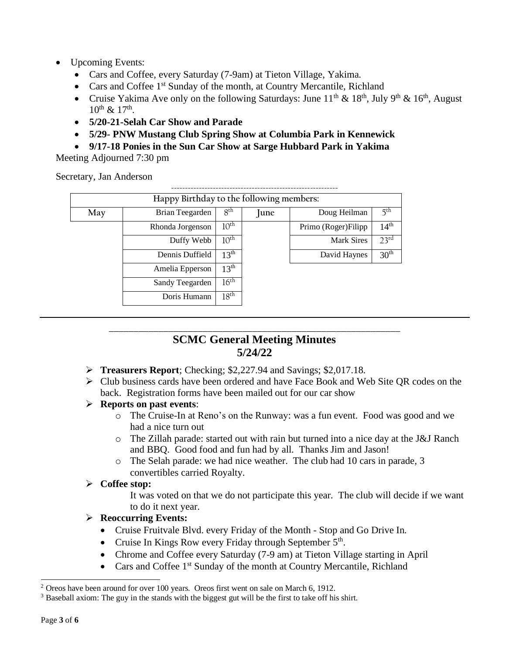- Upcoming Events:
	- Cars and Coffee, every Saturday (7-9am) at Tieton Village, Yakima.
	- Cars and Coffee  $1<sup>st</sup>$  Sunday of the month, at Country Mercantile, Richland
	- Cruise Yakima Ave only on the following Saturdays: June  $11^{th} \& 18^{th}$ , July 9<sup>th</sup> & 16<sup>th</sup>, August  $10^{th}$  &  $17^{th}$ .
	- **5/20-21-Selah Car Show and Parade**
	- **5/29- PNW Mustang Club Spring Show at Columbia Park in Kennewick**
	- **9/17-18 Ponies in the Sun Car Show at Sarge Hubbard Park in Yakima**

Meeting Adjourned 7:30 pm

Secretary, Jan Anderson

|     | Happy Birthday to the following members: |                  |      |                      |                  |  |
|-----|------------------------------------------|------------------|------|----------------------|------------------|--|
| May | Brian Teegarden                          | 8 <sup>th</sup>  | June | Doug Heilman         | 5 <sup>th</sup>  |  |
|     | Rhonda Jorgenson                         | 10 <sup>th</sup> |      | Primo (Roger) Filipp | 14 <sup>th</sup> |  |
|     | Duffy Webb                               | 10 <sup>th</sup> |      | <b>Mark Sires</b>    | $23^{\text{rd}}$ |  |
|     | Dennis Duffield                          | $13^{\text{th}}$ |      | David Haynes         | 30 <sup>th</sup> |  |
|     | Amelia Epperson                          | 13 <sup>th</sup> |      |                      |                  |  |
|     | Sandy Teegarden                          | $16^{\text{th}}$ |      |                      |                  |  |
|     | Doris Humann                             | 18 <sup>th</sup> |      |                      |                  |  |

## \_\_\_\_\_\_\_\_\_\_\_\_\_\_\_\_\_\_\_\_\_\_\_\_\_\_\_\_\_\_\_\_\_\_\_\_\_\_\_\_\_\_\_\_\_\_\_\_\_\_\_\_\_\_\_\_\_\_\_ **SCMC General Meeting Minutes 5/24/22**

- ➢ **Treasurers Report**; Checking; \$2,227.94 and Savings; \$2,017.18.
- ➢ Club business cards have been ordered and have Face Book and Web Site QR codes on the back. Registration forms have been mailed out for our car show

### ➢ **Reports on past events**: <sup>2</sup>

- o The Cruise-In at Reno's on the Runway: was a fun event. Food was good and we had a nice turn out
- $\circ$  The Zillah parade: started out with rain but turned into a nice day at the J&J Ranch and BBQ. Good food and fun had by all. Thanks Jim and Jason!
- o The Selah parade: we had nice weather. The club had 10 cars in parade, 3 convertibles carried Royalty.

### ➢ **Coffee stop:**

It was voted on that we do not participate this year. The club will decide if we want to do it next year.

### ➢ **Reoccurring Events: 3**

- Cruise Fruitvale Blvd. every Friday of the Month Stop and Go Drive In.
- Cruise In Kings Row every Friday through September 5<sup>th</sup>.
- Chrome and Coffee every Saturday (7-9 am) at Tieton Village starting in April
- Cars and Coffee 1<sup>st</sup> Sunday of the month at Country Mercantile, Richland

<sup>2</sup> Oreos have been around for over 100 years. Oreos first went on sale on March 6, 1912.

<sup>3</sup> Baseball axiom: The guy in the stands with the biggest gut will be the first to take off his shirt.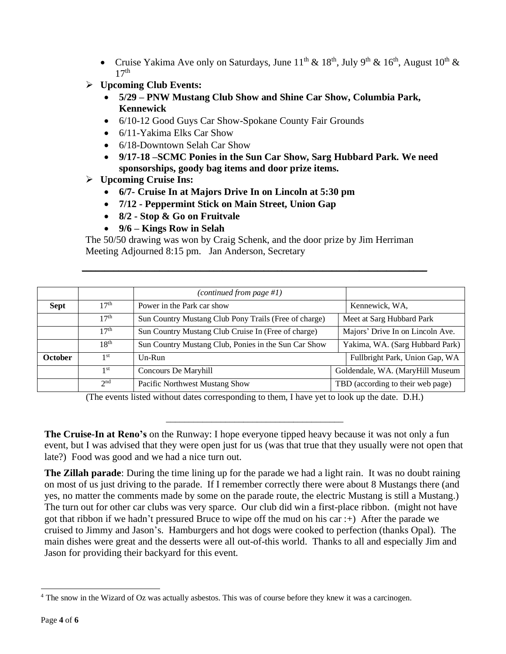- Cruise Yakima Ave only on Saturdays, June  $11^{th} \& 18^{th}$ , July 9<sup>th</sup> &  $16^{th}$ , August  $10^{th} \&$  $17<sup>th</sup>$
- ➢ **Upcoming Club Events:**
	- **5/29 – PNW Mustang Club Show and Shine Car Show, Columbia Park, Kennewick**
	- 6/10-12 Good Guys Car Show-Spokane County Fair Grounds
	- 6/11-Yakima Elks Car Show
	- 6/18-Downtown Selah Car Show
	- **9/17-18 –SCMC Ponies in the Sun Car Show, Sarg Hubbard Park. We need sponsorships, goody bag items and door prize items.**

### ➢ **Upcoming Cruise Ins:**

- **6/7- Cruise In at Majors Drive In on Lincoln at 5:30 pm**
- **7/12 - Peppermint Stick on Main Street, Union Gap**
- **8/2 - Stop & Go on Fruitvale**
- **9/6 – Kings Row in Selah**

The 50/50 drawing was won by Craig Schenk, and the door prize by Jim Herriman Meeting Adjourned 8:15 pm. Jan Anderson, Secretary

**\_\_\_\_\_\_\_\_\_\_\_\_\_\_\_\_\_\_\_\_\_\_\_\_\_\_\_\_\_\_\_\_\_\_\_\_\_\_\_\_\_\_\_\_\_\_\_\_\_\_\_\_\_\_\_\_\_\_\_\_\_\_\_\_\_\_\_\_\_\_\_\_\_\_\_\_**

|                |                  | (continued from page #1)                              |                                   |
|----------------|------------------|-------------------------------------------------------|-----------------------------------|
| <b>Sept</b>    | 17 <sup>th</sup> | Power in the Park car show                            | Kennewick, WA,                    |
|                | 17 <sup>th</sup> | Sun Country Mustang Club Pony Trails (Free of charge) | Meet at Sarg Hubbard Park         |
|                | 17 <sup>th</sup> | Sun Country Mustang Club Cruise In (Free of charge)   | Majors' Drive In on Lincoln Ave.  |
|                | $18^{th}$        | Sun Country Mustang Club, Ponies in the Sun Car Show  | Yakima, WA. (Sarg Hubbard Park)   |
| <b>October</b> | 1 <sup>st</sup>  | $Un-Run$                                              | Fullbright Park, Union Gap, WA    |
|                | 1st              | Concours De Maryhill                                  | Goldendale, WA. (MaryHill Museum  |
|                | 2 <sub>nd</sub>  | Pacific Northwest Mustang Show                        | TBD (according to their web page) |

(The events listed without dates corresponding to them, I have yet to look up the date. D.H.)

\_\_\_\_\_\_\_\_\_\_\_\_\_\_\_\_\_\_\_\_\_\_\_\_\_\_\_\_\_\_\_\_\_\_\_\_\_\_\_

**The Cruise-In at Reno's** on the Runway: I hope everyone tipped heavy because it was not only a fun event, but I was advised that they were open just for us (was that true that they usually were not open that late?) Food was good and we had a nice turn out.

**The Zillah parade**: During the time lining up for the parade we had a light rain. It was no doubt raining on most of us just driving to the parade. If I remember correctly there were about 8 Mustangs there (and yes, no matter the comments made by some on the parade route, the electric Mustang is still a Mustang.) The turn out for other car clubs was very sparce. Our club did win a first-place ribbon. (might not have got that ribbon if we hadn't pressured Bruce to wipe off the mud on his car :+) After the parade we cruised to Jimmy and Jason's. Hamburgers and hot dogs were cooked to perfection (thanks Opal). The main dishes were great and the desserts were all out-of-this world. Thanks to all and especially Jim and Jason for providing their backyard for this event.

<sup>&</sup>lt;sup>4</sup> The snow in the Wizard of Oz was actually asbestos. This was of course before they knew it was a carcinogen.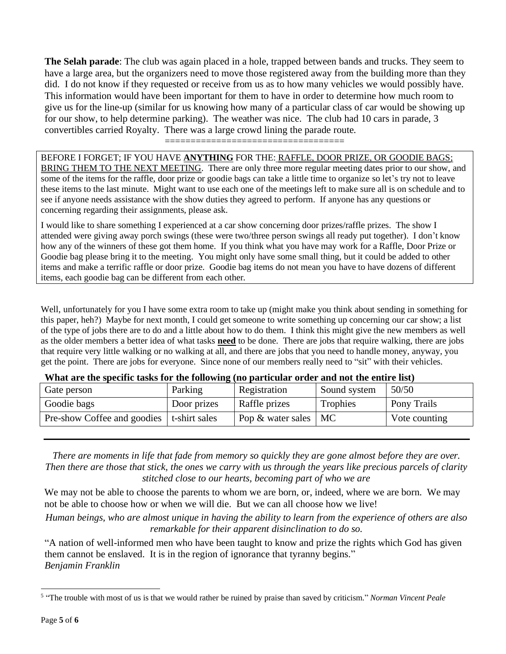**The Selah parade**: The club was again placed in a hole, trapped between bands and trucks. They seem to have a large area, but the organizers need to move those registered away from the building more than they did. I do not know if they requested or receive from us as to how many vehicles we would possibly have. This information would have been important for them to have in order to determine how much room to give us for the line-up (similar for us knowing how many of a particular class of car would be showing up for our show, to help determine parking). The weather was nice. The club had 10 cars in parade, 3 convertibles carried Royalty. There was a large crowd lining the parade route.

===================================

BEFORE I FORGET; IF YOU HAVE **ANYTHING** FOR THE: RAFFLE, DOOR PRIZE, OR GOODIE BAGS; BRING THEM TO THE NEXT MEETING. There are only three more regular meeting dates prior to our show, and some of the items for the raffle, door prize or goodie bags can take a little time to organize so let's try not to leave these items to the last minute. Might want to use each one of the meetings left to make sure all is on schedule and to see if anyone needs assistance with the show duties they agreed to perform. If anyone has any questions or concerning regarding their assignments, please ask.

I would like to share something I experienced at a car show concerning door prizes/raffle prizes. The show I attended were giving away porch swings (these were two/three person swings all ready put together). I don't know how any of the winners of these got them home. If you think what you have may work for a Raffle, Door Prize or Goodie bag please bring it to the meeting. You might only have some small thing, but it could be added to other items and make a terrific raffle or door prize. Goodie bag items do not mean you have to have dozens of different items, each goodie bag can be different from each other.

Well, unfortunately for you I have some extra room to take up (might make you think about sending in something for this paper, heh?) Maybe for next month, I could get someone to write something up concerning our car show; a list of the type of jobs there are to do and a little about how to do them. I think this might give the new members as well as the older members a better idea of what tasks **need** to be done. There are jobs that require walking, there are jobs that require very little walking or no walking at all, and there are jobs that you need to handle money, anyway, you get the point. There are jobs for everyone. Since none of our members really need to "sit" with their vehicles.

| $\alpha$ and the specific costs for the following $\alpha$ and $\beta$ and $\beta$ and $\beta$ and $\beta$ and $\alpha$ and $\beta$ and $\beta$ |             |                           |              |               |  |  |
|-------------------------------------------------------------------------------------------------------------------------------------------------|-------------|---------------------------|--------------|---------------|--|--|
| Gate person                                                                                                                                     | Parking     | Registration              | Sound system | 50/50         |  |  |
| Goodie bags                                                                                                                                     | Door prizes | Raffle prizes             | Trophies     | Pony Trails   |  |  |
| Pre-show Coffee and goodies   t-shirt sales                                                                                                     |             | Pop $\&$ water sales   MC |              | Vote counting |  |  |
|                                                                                                                                                 |             |                           |              |               |  |  |

#### **What are the specific tasks for the following (no particular order and not the entire list)**

*There are moments in life that fade from memory so quickly they are gone almost before they are over. Then there are those that stick, the ones we carry with us through the years like precious parcels of clarity stitched close to our hearts, becoming part of who we are*

We may not be able to choose the parents to whom we are born, or, indeed, where we are born. We may not be able to choose how or when we will die. But we can all choose how we live!

*Human beings, who are almost unique in having the ability to learn from the experience of others are also remarkable for their apparent disinclination to do so.*

"A nation of well-informed men who have been taught to know and prize the rights which God has given them cannot be enslaved. It is in the region of ignorance that tyranny begins." *Benjamin Franklin<sup>5</sup>*

<sup>5</sup> "The trouble with most of us is that we would rather be ruined by praise than saved by criticism." *Norman Vincent Peale*